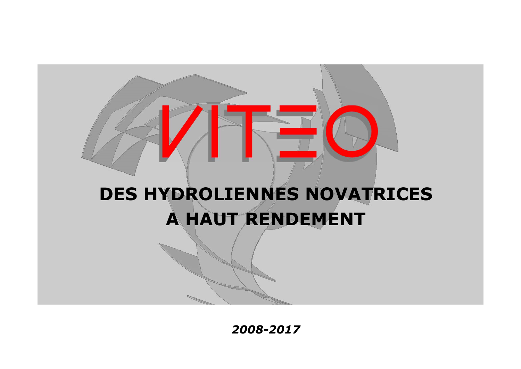

*2008-2017*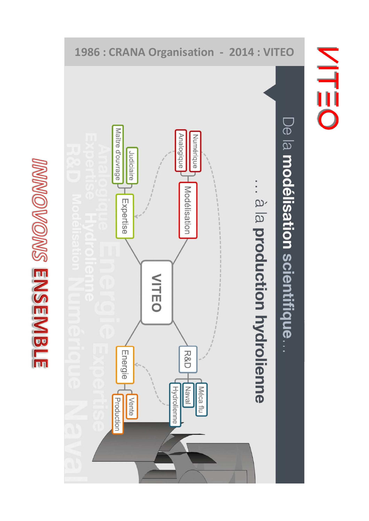



**NITEO**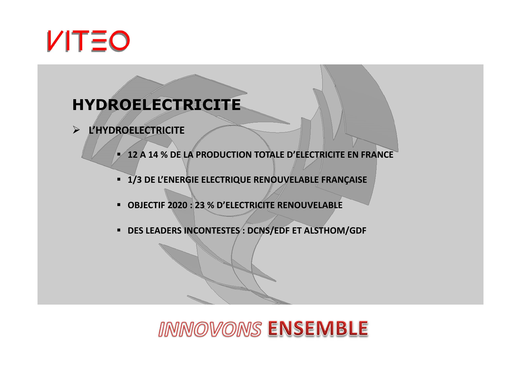

### **HYDROELECTRICITE**

- **L'HYDROELECTRICITE**
	- **12 A 14 % DE LA PRODUCTION TOTALE D'ELECTRICITE EN FRANCE**
	- **1/3 DE L'ENERGIE ELECTRIQUE RENOUVELABLE FRANÇAISE**
	- **OBJECTIF 2020 : 23 % D'ELECTRICITE RENOUVELABLE**
	- **DES LEADERS INCONTESTES : DCNS/EDF ET ALSTHOM/GDF**

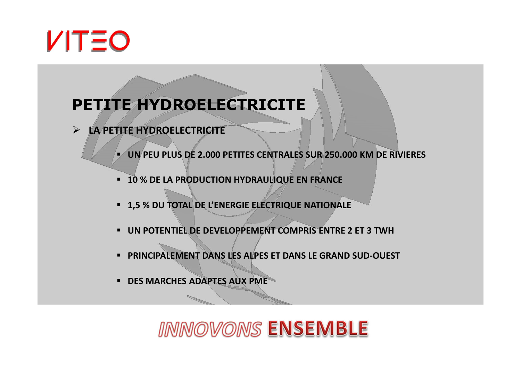

### **PETITE HYDROELECTRICITE**

**LA PETITE HYDROELECTRICITE**

-**UN PEU PLUS DE 2.000 PETITES CENTRALES SUR 250.000 KM DE RIVIERES**

- **10 % DE LA PRODUCTION HYDRAULIQUE EN FRANCE**
- **1,5 % DU TOTAL DE L'ENERGIE ELECTRIQUE NATIONALE**
- **UN POTENTIEL DE DEVELOPPEMENT COMPRIS ENTRE 2 ET 3 TWH**
- **PRINCIPALEMENT DANS LES ALPES ET DANS LE GRAND SUD-OUEST**
- **DES MARCHES ADAPTES AUX PME**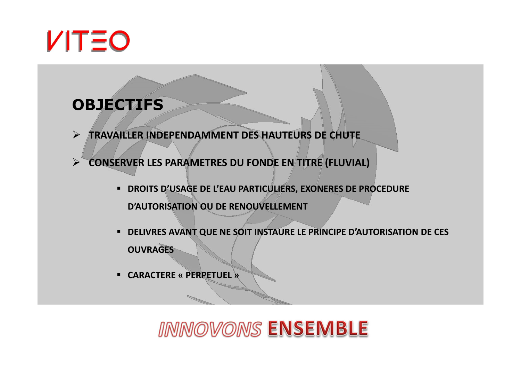

### **OBJECTIFS**

- $\blacktriangleright$ **TRAVAILLER INDEPENDAMMENT DES HAUTEURS DE CHUTE**
- $\blacktriangleright$  **CONSERVER LES PARAMETRES DU FONDE EN TITRE (FLUVIAL)**
	- **DROITS D'USAGE DE L'EAU PARTICULIERS, EXONERES DE PROCEDURE D'AUTORISATION OU DE RENOUVELLEMENT**
	- **DELIVRES AVANT QUE NE SOIT INSTAURE LE PRINCIPE D'AUTORISATION DE CES OUVRAGES**
	- **CARACTERE « PERPETUEL »**

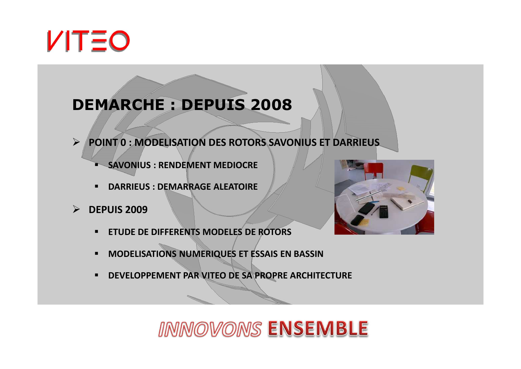

## **DEMARCHE : DEPUIS 2008**

- **POINT 0 : MODELISATION DES ROTORS SAVONIUS ET DARRIEUS**
	- **SAVONIUS : RENDEMENT MEDIOCRE**
	- -**DARRIEUS : DEMARRAGE ALEATOIRE**
- **DEPUIS 2009**
	- -**ETUDE DE DIFFERENTS MODELES DE ROTORS**
	- -**MODELISATIONS NUMERIQUES ET ESSAIS EN BASSIN**
	- **DEVELOPPEMENT PAR VITEO DE SA PROPRE ARCHITECTURE**

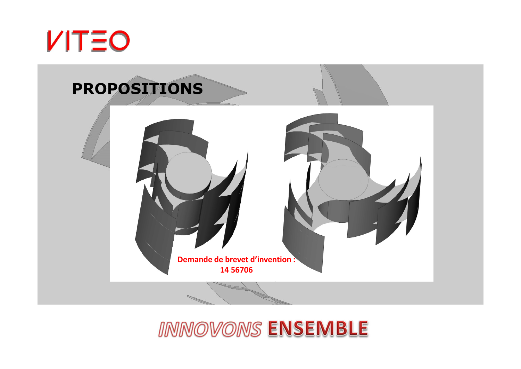

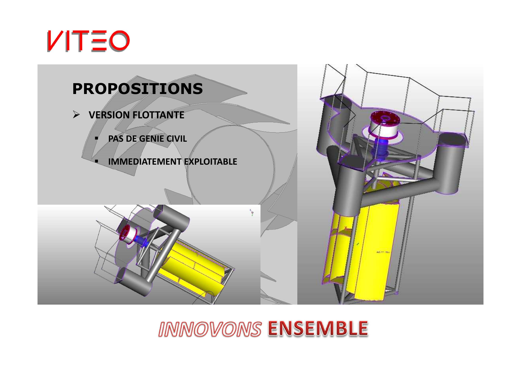

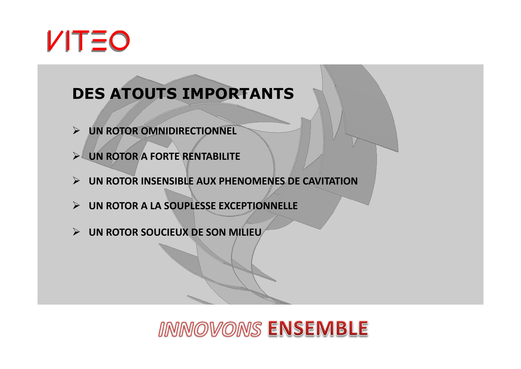

## **DES ATOUTS IMPORTANTS**

- **UN ROTOR OMNIDIRECTIONNEL**
- **UN ROTOR A FORTE RENTABILITE**
- **UN ROTOR INSENSIBLE AUX PHENOMENES DE CAVITATION**
- **UN ROTOR A LA SOUPLESSE EXCEPTIONNELLE**
- **UN ROTOR SOUCIEUX DE SON MILIEU**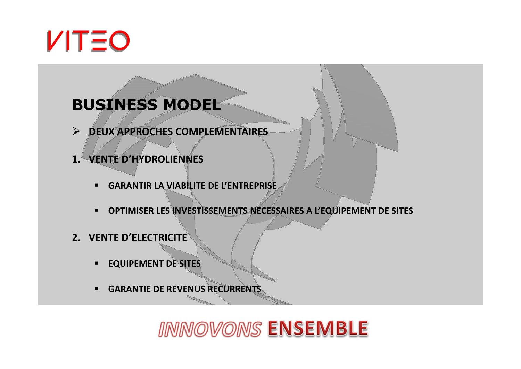

## **BUSINESS MODEL**

- **DEUX APPROCHES COMPLEMENTAIRES**
- **1. VENTE D'HYDROLIENNES**
	- -**GARANTIR LA VIABILITE DE L'ENTREPRISE**
	- -**OPTIMISER LES INVESTISSEMENTS NECESSAIRES A L'EQUIPEMENT DE SITES**
- **2. VENTE D'ELECTRICITE**
	- -**EQUIPEMENT DE SITES**
	- -**GARANTIE DE REVENUS RECURRENTS**

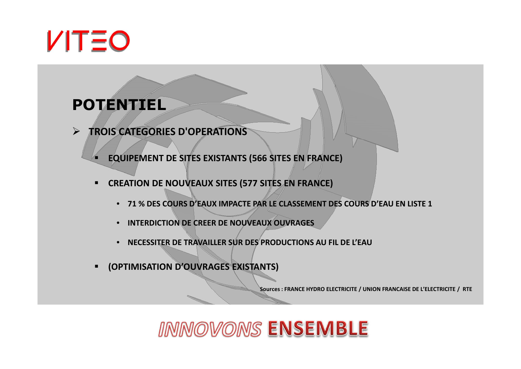

#### **POTENTIEL**

 $\blacktriangleright$ **TROIS CATEGORIES D'OPERATIONS**

**EQUIPEMENT DE SITES EXISTANTS (566 SITES EN FRANCE)**

- - **CREATION DE NOUVEAUX SITES (577 SITES EN FRANCE)**
	- **71 % DES COURS D'EAUX IMPACTE PAR LE CLASSEMENT DES COURS D'EAU EN LISTE 1**
	- •**INTERDICTION DE CREER DE NOUVEAUX OUVRAGES**
	- •**NECESSITER DE TRAVAILLER SUR DES PRODUCTIONS AU FIL DE L'EAU**
- -**(OPTIMISATION D'OUVRAGES EXISTANTS)**

**Sources : FRANCE HYDRO ELECTRICITE / UNION FRANCAISE DE L'ELECTRICITE / RTE**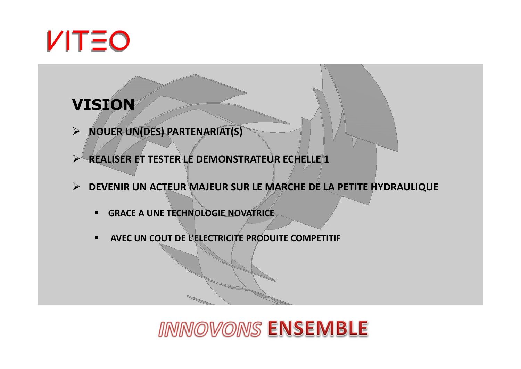

### **VISION**

- **NOUER UN(DES) PARTENARIAT(S)**
- $\blacktriangleright$ **REALISER ET TESTER LE DEMONSTRATEUR ECHELLE 1**
- **DEVENIR UN ACTEUR MAJEUR SUR LE MARCHE DE LA PETITE HYDRAULIQUE**
	- -**GRACE A UNE TECHNOLOGIE NOVATRICE**
	- -**AVEC UN COUT DE L'ELECTRICITE PRODUITE COMPETITIF**